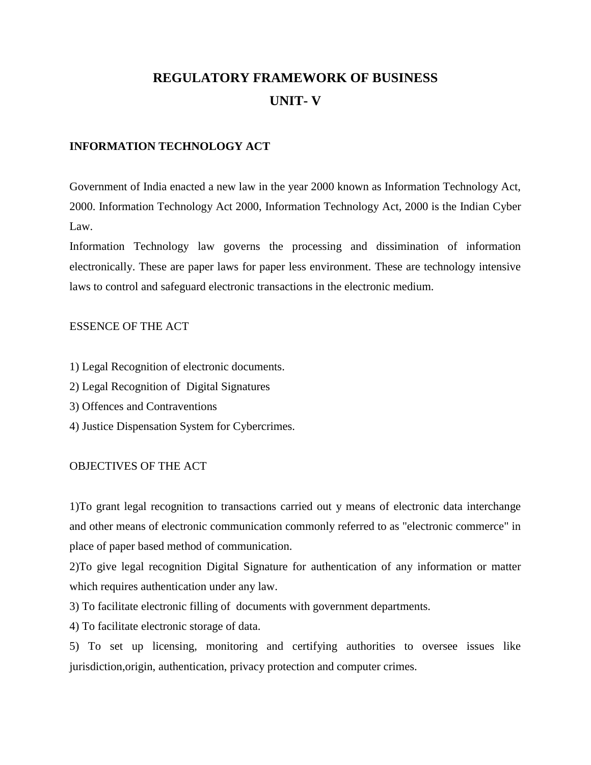# **REGULATORY FRAMEWORK OF BUSINESS UNIT- V**

### **INFORMATION TECHNOLOGY ACT**

Government of India enacted a new law in the year 2000 known as Information Technology Act, 2000. Information Technology Act 2000, Information Technology Act, 2000 is the Indian Cyber Law.

Information Technology law governs the processing and dissimination of information electronically. These are paper laws for paper less environment. These are technology intensive laws to control and safeguard electronic transactions in the electronic medium.

### ESSENCE OF THE ACT

- 1) Legal Recognition of electronic documents.
- 2) Legal Recognition of Digital Signatures
- 3) Offences and Contraventions
- 4) Justice Dispensation System for Cybercrimes.

### OBJECTIVES OF THE ACT

1)To grant legal recognition to transactions carried out y means of electronic data interchange and other means of electronic communication commonly referred to as "electronic commerce" in place of paper based method of communication.

2)To give legal recognition Digital Signature for authentication of any information or matter which requires authentication under any law.

3) To facilitate electronic filling of documents with government departments.

4) To facilitate electronic storage of data.

5) To set up licensing, monitoring and certifying authorities to oversee issues like jurisdiction,origin, authentication, privacy protection and computer crimes.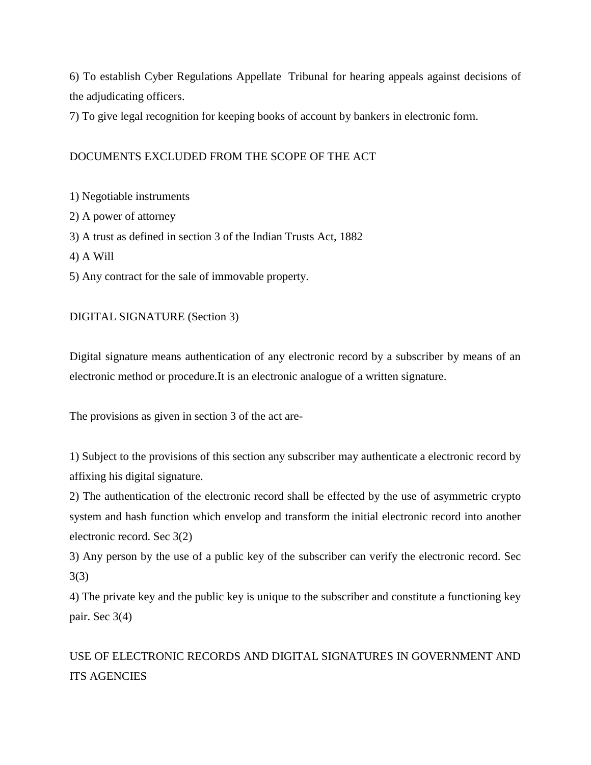6) To establish Cyber Regulations Appellate Tribunal for hearing appeals against decisions of the adjudicating officers.

7) To give legal recognition for keeping books of account by bankers in electronic form.

# DOCUMENTS EXCLUDED FROM THE SCOPE OF THE ACT

1) Negotiable instruments

2) A power of attorney

3) A trust as defined in section 3 of the Indian Trusts Act, 1882

4) A Will

5) Any contract for the sale of immovable property.

## DIGITAL SIGNATURE (Section 3)

Digital signature means authentication of any electronic record by a subscriber by means of an electronic method or procedure.It is an electronic analogue of a written signature.

The provisions as given in section 3 of the act are-

1) Subject to the provisions of this section any subscriber may authenticate a electronic record by affixing his digital signature.

2) The authentication of the electronic record shall be effected by the use of asymmetric crypto system and hash function which envelop and transform the initial electronic record into another electronic record. Sec 3(2)

3) Any person by the use of a public key of the subscriber can verify the electronic record. Sec 3(3)

4) The private key and the public key is unique to the subscriber and constitute a functioning key pair. Sec 3(4)

USE OF ELECTRONIC RECORDS AND DIGITAL SIGNATURES IN GOVERNMENT AND ITS AGENCIES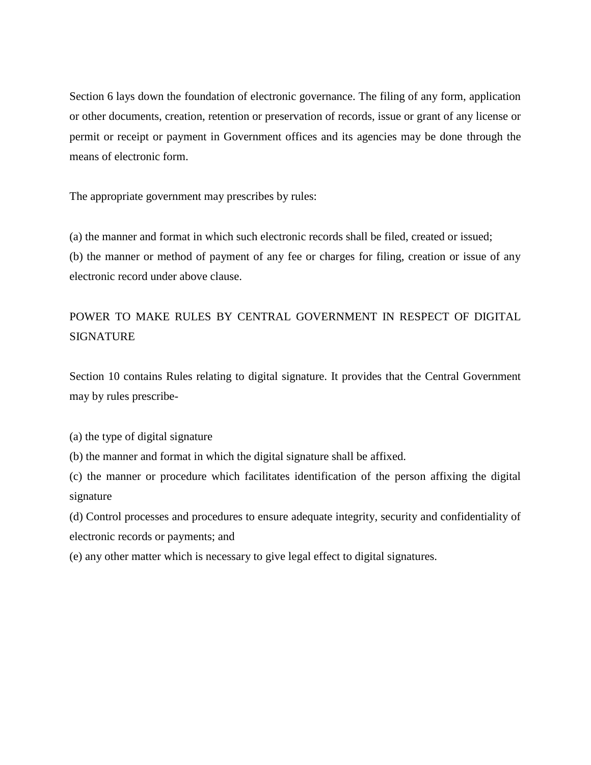Section 6 lays down the foundation of electronic governance. The filing of any form, application or other documents, creation, retention or preservation of records, issue or grant of any license or permit or receipt or payment in Government offices and its agencies may be done through the means of electronic form.

The appropriate government may prescribes by rules:

(a) the manner and format in which such electronic records shall be filed, created or issued; (b) the manner or method of payment of any fee or charges for filing, creation or issue of any electronic record under above clause.

# POWER TO MAKE RULES BY CENTRAL GOVERNMENT IN RESPECT OF DIGITAL **SIGNATURE**

Section 10 contains Rules relating to digital signature. It provides that the Central Government may by rules prescribe-

(a) the type of digital signature

(b) the manner and format in which the digital signature shall be affixed.

(c) the manner or procedure which facilitates identification of the person affixing the digital signature

(d) Control processes and procedures to ensure adequate integrity, security and confidentiality of electronic records or payments; and

(e) any other matter which is necessary to give legal effect to digital signatures.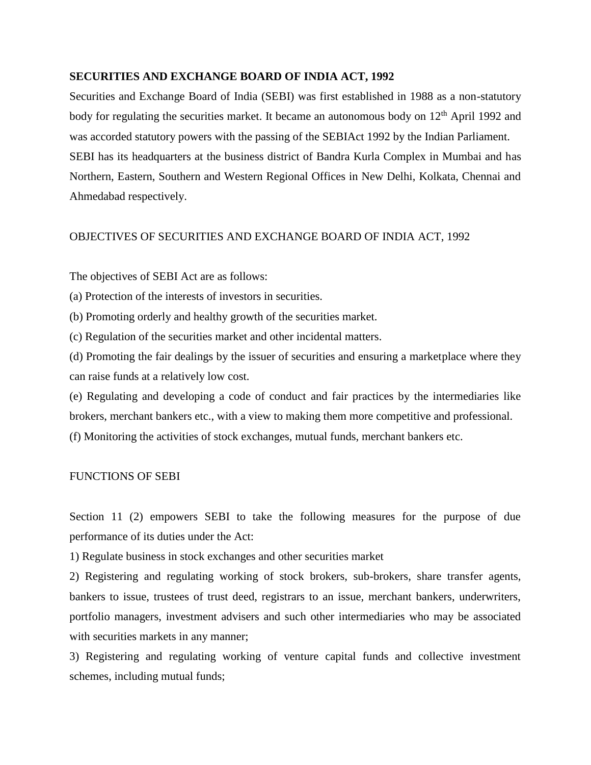### **SECURITIES AND EXCHANGE BOARD OF INDIA ACT, 1992**

Securities and Exchange Board of India (SEBI) was first established in 1988 as a non-statutory body for regulating the securities market. It became an autonomous body on 12<sup>th</sup> April 1992 and was accorded statutory powers with the passing of the SEBIAct 1992 by the Indian Parliament. SEBI has its headquarters at the business district of Bandra Kurla Complex in Mumbai and has Northern, Eastern, Southern and Western Regional Offices in New Delhi, Kolkata, Chennai and Ahmedabad respectively.

### OBJECTIVES OF SECURITIES AND EXCHANGE BOARD OF INDIA ACT, 1992

The objectives of SEBI Act are as follows:

(a) Protection of the interests of investors in securities.

(b) Promoting orderly and healthy growth of the securities market.

(c) Regulation of the securities market and other incidental matters.

(d) Promoting the fair dealings by the issuer of securities and ensuring a marketplace where they can raise funds at a relatively low cost.

(e) Regulating and developing a code of conduct and fair practices by the intermediaries like brokers, merchant bankers etc., with a view to making them more competitive and professional.

(f) Monitoring the activities of stock exchanges, mutual funds, merchant bankers etc.

### FUNCTIONS OF SEBI

Section 11 (2) empowers SEBI to take the following measures for the purpose of due performance of its duties under the Act:

1) Regulate business in stock exchanges and other securities market

2) Registering and regulating working of stock brokers, sub-brokers, share transfer agents, bankers to issue, trustees of trust deed, registrars to an issue, merchant bankers, underwriters, portfolio managers, investment advisers and such other intermediaries who may be associated with securities markets in any manner;

3) Registering and regulating working of venture capital funds and collective investment schemes, including mutual funds;